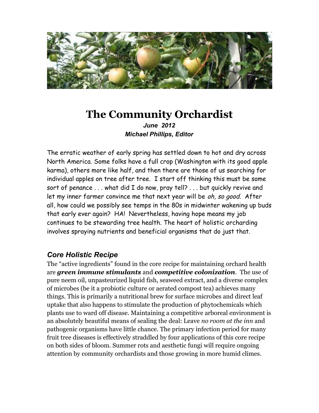

# **The Community Orchardist** *June 2012 Michael Phillips, Editor*

The erratic weather of early spring has settled down to hot and dry across North America. Some folks have a full crop (Washington with its good apple karma), others more like half, and then there are those of us searching for individual apples on tree after tree. I start off thinking this must be some sort of penance . . . what did I do now, pray tell? . . . but quickly revive and let my inner farmer convince me that next year will be oh, so good. After all, how could we possibly see temps in the 80s in midwinter wakening up buds that early ever again? HA! Nevertheless, having hope means my job continues to be stewarding tree health. The heart of holistic orcharding involves spraying nutrients and beneficial organisms that do just that.

## *Core Holistic Recipe*

The "active ingredients" found in the core recipe for maintaining orchard health are *green immune stimulants* and *competitive colonization*. The use of pure neem oil, unpasteurized liquid fish, seaweed extract, and a diverse complex of microbes (be it a probiotic culture or aerated compost tea) achieves many things. This is primarily a nutritional brew for surface microbes and direct leaf uptake that also happens to stimulate the production of phytochemicals which plants use to ward off disease. Maintaining a competitive arboreal environment is an absolutely beautiful means of sealing the deal: Leave *no room at the inn* and pathogenic organisms have little chance. The primary infection period for many fruit tree diseases is effectively straddled by four applications of this core recipe on both sides of bloom. Summer rots and aesthetic fungi will require ongoing attention by community orchardists and those growing in more humid climes.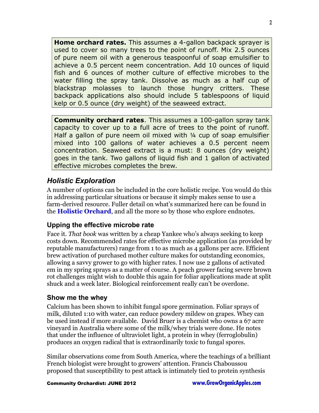**Home orchard rates.** This assumes a 4-gallon backpack sprayer is used to cover so many trees to the point of runoff. Mix 2.5 ounces of pure neem oil with a generous teaspoonful of soap emulsifier to achieve a 0.5 percent neem concentration. Add 10 ounces of liquid fish and 6 ounces of mother culture of effective microbes to the water filling the spray tank. Dissolve as much as a half cup of blackstrap molasses to launch those hungry critters. These backpack applications also should include 5 tablespoons of liquid kelp or 0.5 ounce (dry weight) of the seaweed extract.

**Community orchard rates**. This assumes a 100-gallon spray tank capacity to cover up to a full acre of trees to the point of runoff. Half a gallon of pure neem oil mixed with ¼ cup of soap emulsifier mixed into 100 gallons of water achieves a 0.5 percent neem concentration. Seaweed extract is a must: 8 ounces (dry weight) goes in the tank. Two gallons of liquid fish and 1 gallon of activated effective microbes completes the brew.

## *Holistic Exploration*

A number of options can be included in the core holistic recipe. You would do this in addressing particular situations or because it simply makes sense to use a farm-derived resource. Fuller detail on what's summarized here can be found in the **[Holistic Orchard](http://groworganicapples.com/organic-apple-books/)**, and all the more so by those who explore endnotes.

## **Upping the effective microbe rate**

Face it. *That book* was written by a cheap Yankee who's always seeking to keep costs down. Recommended rates for effective microbe application (as provided by reputable manufacturers) range from 1 to as much as 4 gallons per acre. Efficient brew activation of purchased mother culture makes for outstanding economics, allowing a savvy grower to go with higher rates. I now use 2 gallons of activated em in my spring sprays as a matter of course. A peach grower facing severe brown rot challenges might wish to double this again for foliar applications made at split shuck and a week later. Biological reinforcement really can't be overdone.

## **Show me the whey**

Calcium has been shown to inhibit fungal spore germination. Foliar sprays of milk, diluted 1:10 with water, can reduce powdery mildew on grapes. Whey can be used instead if more available. David Bruer is a chemist who owns a 67 acre vineyard in Australia where some of the milk/whey trials were done. He notes that under the influence of ultraviolet light, a protein in whey (ferroglobulin) produces an oxygen radical that is extraordinarily toxic to fungal spores.

Similar observations come from South America, where the teachings of a brilliant French biologist were brought to growers' attention. Francis Chaboussou proposed that susceptibility to pest attack is intimately tied to protein synthesis

Community Orchardist: JUNE 2012 **[www.GrowOrganicApples.com](http://www.GrowOrganicApples.com/)**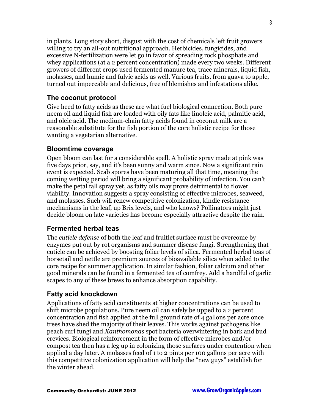in plants. Long story short, disgust with the cost of chemicals left fruit growers willing to try an all-out nutritional approach. Herbicides, fungicides, and excessive N-fertilization were let go in favor of spreading rock phosphate and whey applications (at a 2 percent concentration) made every two weeks. Different growers of different crops used fermented manure tea, trace minerals, liquid fish, molasses, and humic and fulvic acids as well. Various fruits, from guava to apple, turned out impeccable and delicious, free of blemishes and infestations alike.

#### **The coconut protocol**

Give heed to fatty acids as these are what fuel biological connection. Both pure neem oil and liquid fish are loaded with oily fats like linoleic acid, palmitic acid, and oleic acid. The medium-chain fatty acids found in coconut milk are a reasonable substitute for the fish portion of the core holistic recipe for those wanting a vegetarian alternative.

#### **Bloomtime coverage**

Open bloom can last for a considerable spell. A holistic spray made at pink was five days prior, say, and it's been sunny and warm since. Now a significant rain event is expected. Scab spores have been maturing all that time, meaning the coming wetting period will bring a significant probability of infection. You can't make the petal fall spray yet, as fatty oils may prove detrimental to flower viability. Innovation suggests a spray consisting of effective microbes, seaweed, and molasses. Such will renew competitive colonization, kindle resistance mechanisms in the leaf, up Brix levels, and who knows? Pollinators might just decide bloom on late varieties has become especially attractive despite the rain.

#### **Fermented herbal teas**

The *cuticle defense* of both the leaf and fruitlet surface must be overcome by enzymes put out by rot organisms and summer disease fungi. Strengthening that cuticle can be achieved by boosting foliar levels of silica. Fermented herbal teas of horsetail and nettle are premium sources of bioavailable silica when added to the core recipe for summer application. In similar fashion, foliar calcium and other good minerals can be found in a fermented tea of comfrey. Add a handful of garlic scapes to any of these brews to enhance absorption capability.

#### **Fatty acid knockdown**

Applications of fatty acid constituents at higher concentrations can be used to shift microbe populations. Pure neem oil can safely be upped to a 2 percent concentration and fish applied at the full ground rate of 4 gallons per acre once trees have shed the majority of their leaves. This works against pathogens like peach curl fungi and *Xanthomonas* spot bacteria overwintering in bark and bud crevices. Biological reinforcement in the form of effective microbes and/or compost tea then has a leg up in colonizing those surfaces under contention when applied a day later. A molasses feed of 1 to 2 pints per 100 gallons per acre with this competitive colonization application will help the "new guys" establish for the winter ahead.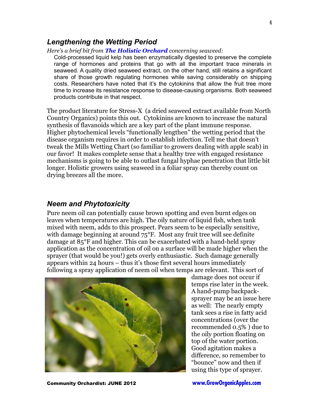#### *Lengthening the Wetting Period*

*Here's a brief bit from [The Holistic Orchard](http://groworganicapples.com/organic-apple-books/) concerning seaweed:*

Cold-processed liquid kelp has been enzymatically digested to preserve the complete range of hormones and proteins that go with all the important trace minerals in seaweed. A quality dried seaweed extract, on the other hand, still retains a significant share of those growth regulating hormones while saving considerably on shipping costs. Researchers have noted that it's the cytokinins that allow the fruit tree more time to increase its resistance response to disease-causing organisms. Both seaweed products contribute in that respect.

The product literature for Stress-X (a dried seaweed extract available from North Country Organics) points this out. Cytokinins are known to increase the natural synthesis of flavanoids which are a key part of the plant immune response. Higher phytochemical levels "functionally lengthen" the wetting period that the disease organism requires in order to establish infection. Tell me that doesn't tweak the Mills Wetting Chart (so familiar to growers dealing with apple scab) in our favor! It makes complete sense that a healthy tree with engaged resistance mechanisms is going to be able to outlast fungal hyphae penetration that little bit longer. Holistic growers using seaweed in a foliar spray can thereby count on drying breezes all the more.

### *Neem and Phytotoxicity*

Pure neem oil can potentially cause brown spotting and even burnt edges on leaves when temperatures are high. The oily nature of liquid fish, when tank mixed with neem, adds to this prospect. Pears seem to be especially sensitive, with damage beginning at around  $75^{\circ}$ F. Most any fruit tree will see definite damage at 85°F and higher. This can be exacerbated with a hand-held spray application as the concentration of oil on a surface will be made higher when the sprayer (that would be you!) gets overly enthusiastic. Such damage generally appears within 24 hours – thus it's those first several hours immediately following a spray application of neem oil when temps are relevant. This sort of



damage does not occur if temps rise later in the week. A hand-pump backpacksprayer may be an issue here as well: The nearly empty tank sees a rise in fatty acid concentrations (over the recommended 0.5% ) due to the oily portion floating on top of the water portion. Good agitation makes a difference, so remember to "bounce" now and then if using this type of sprayer.

Community Orchardist: JUNE 2012 **[www.GrowOrganicApples.com](http://www.GrowOrganicApples.com/)**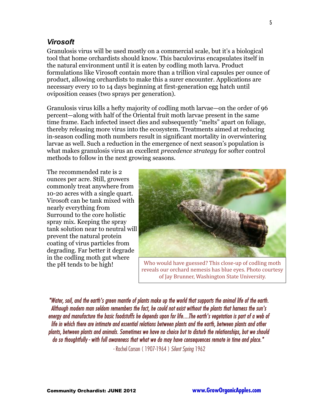## *Virosoft*

Granulosis virus will be used mostly on a commercial scale, but it's a biological tool that home orchardists should know. This baculovirus encapsulates itself in the natural environment until it is eaten by codling moth larva. Product formulations like Virosoft contain more than a trillion viral capsules per ounce of product, allowing orchardists to make this a surer encounter. Applications are necessary every 10 to 14 days beginning at first-generation egg hatch until oviposition ceases (two sprays per generation).

Granulosis virus kills a hefty majority of codling moth larvae—on the order of 96 percent—along with half of the Oriental fruit moth larvae present in the same time frame. Each infected insect dies and subsequently "melts" apart on foliage, thereby releasing more virus into the ecosystem. Treatments aimed at reducing in-season codling moth numbers result in significant mortality in overwintering larvae as well. Such a reduction in the emergence of next season's population is what makes granulosis virus an excellent *precedence strategy* for softer control methods to follow in the next growing seasons.

The recommended rate is 2 ounces per acre. Still, growers commonly treat anywhere from 10-20 acres with a single quart. Virosoft can be tank mixed with nearly everything from Surround to the core holistic spray mix. Keeping the spray tank solution near to neutral will prevent the natural protein coating of virus particles from degrading. Far better it degrade in the codling moth gut where the pH tends to be high!



Who would have guessed? This close-up of codling moth reveals our orchard nemesis has blue eyes. Photo courtesy of Jay Brunner, Washington State University.

"Water, soil, and the earth's green mantle of plants make up the world that supports the animal life of the earth. Although modern man seldom remembers the fact, he could not exist without the plants that harness the sun's energy and manufacture the basic foodstuffs he depends upon for life....The earth's vegetation is part of a web of life in which there are intimate and essential relations between plants and the earth, between plants and other plants, between plants and animals. Sometimes we have no choice but to disturb the relationships, but we should do so thoughtfully - with full awareness that what we do may have consequences remote in time and place."

- Rachel Carson ( 1907-1964 ) Silent Spring 1962